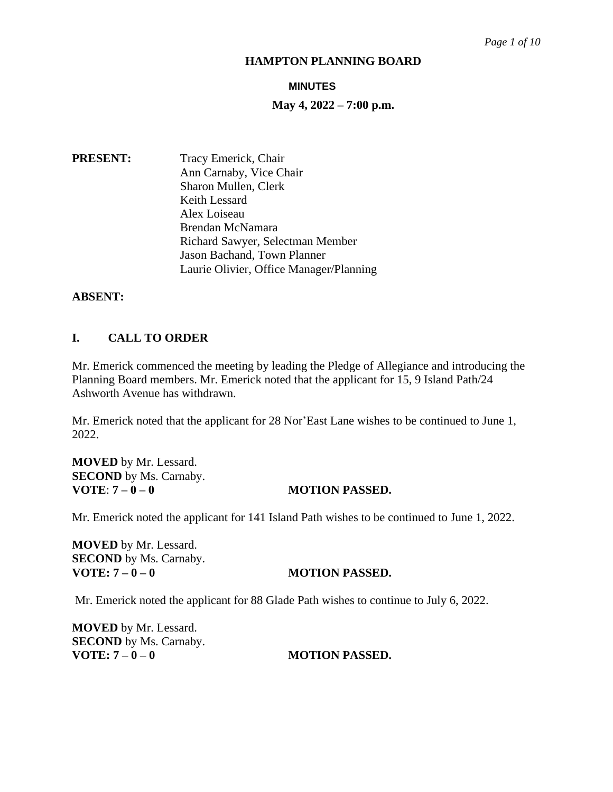# **MINUTES**

# **May 4, 2022 – 7:00 p.m.**

**PRESENT:** Tracy Emerick, Chair Ann Carnaby, Vice Chair Sharon Mullen, Clerk Keith Lessard Alex Loiseau Brendan McNamara Richard Sawyer, Selectman Member Jason Bachand, Town Planner Laurie Olivier, Office Manager/Planning

# **ABSENT:**

# **I. CALL TO ORDER**

Mr. Emerick commenced the meeting by leading the Pledge of Allegiance and introducing the Planning Board members. Mr. Emerick noted that the applicant for 15, 9 Island Path/24 Ashworth Avenue has withdrawn.

Mr. Emerick noted that the applicant for 28 Nor'East Lane wishes to be continued to June 1, 2022.

**MOVED** by Mr. Lessard. **SECOND** by Ms. Carnaby. **VOTE**: **7 – 0 – 0 MOTION PASSED.**

Mr. Emerick noted the applicant for 141 Island Path wishes to be continued to June 1, 2022.

**MOVED** by Mr. Lessard. **SECOND** by Ms. Carnaby.<br>**VOTE:**  $7 - 0 - 0$ 

# **VOTE: 7 – 0 – 0 MOTION PASSED.**

Mr. Emerick noted the applicant for 88 Glade Path wishes to continue to July 6, 2022.

**MOVED** by Mr. Lessard. **SECOND** by Ms. Carnaby.<br>**VOTE:**  $7 - 0 - 0$ 

# **VOTE: 7 – 0 – 0 MOTION PASSED.**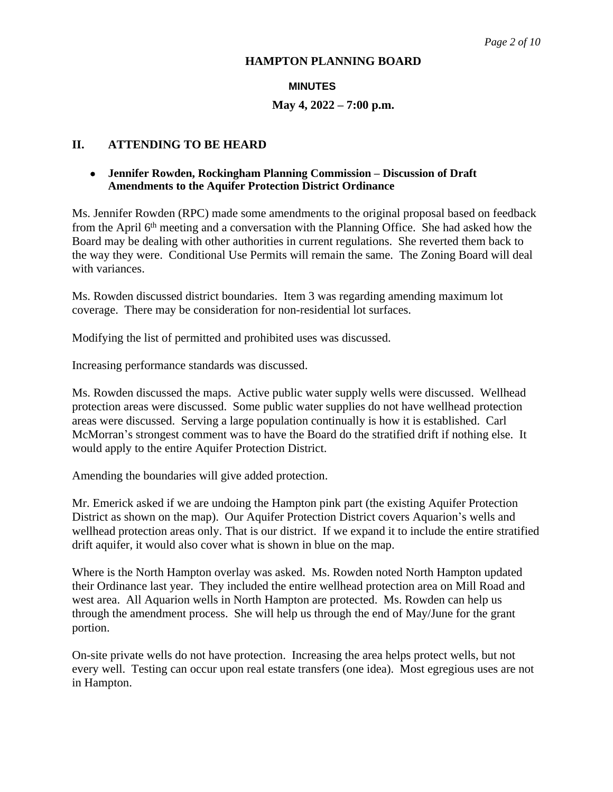# **MINUTES**

# **May 4, 2022 – 7:00 p.m.**

# **II. ATTENDING TO BE HEARD**

# **Jennifer Rowden, Rockingham Planning Commission – Discussion of Draft Amendments to the Aquifer Protection District Ordinance**

Ms. Jennifer Rowden (RPC) made some amendments to the original proposal based on feedback from the April  $6<sup>th</sup>$  meeting and a conversation with the Planning Office. She had asked how the Board may be dealing with other authorities in current regulations. She reverted them back to the way they were. Conditional Use Permits will remain the same. The Zoning Board will deal with variances.

Ms. Rowden discussed district boundaries. Item 3 was regarding amending maximum lot coverage. There may be consideration for non-residential lot surfaces.

Modifying the list of permitted and prohibited uses was discussed.

Increasing performance standards was discussed.

Ms. Rowden discussed the maps. Active public water supply wells were discussed. Wellhead protection areas were discussed. Some public water supplies do not have wellhead protection areas were discussed. Serving a large population continually is how it is established. Carl McMorran's strongest comment was to have the Board do the stratified drift if nothing else. It would apply to the entire Aquifer Protection District.

Amending the boundaries will give added protection.

Mr. Emerick asked if we are undoing the Hampton pink part (the existing Aquifer Protection District as shown on the map). Our Aquifer Protection District covers Aquarion's wells and wellhead protection areas only. That is our district. If we expand it to include the entire stratified drift aquifer, it would also cover what is shown in blue on the map.

Where is the North Hampton overlay was asked. Ms. Rowden noted North Hampton updated their Ordinance last year. They included the entire wellhead protection area on Mill Road and west area. All Aquarion wells in North Hampton are protected. Ms. Rowden can help us through the amendment process. She will help us through the end of May/June for the grant portion.

On-site private wells do not have protection. Increasing the area helps protect wells, but not every well. Testing can occur upon real estate transfers (one idea). Most egregious uses are not in Hampton.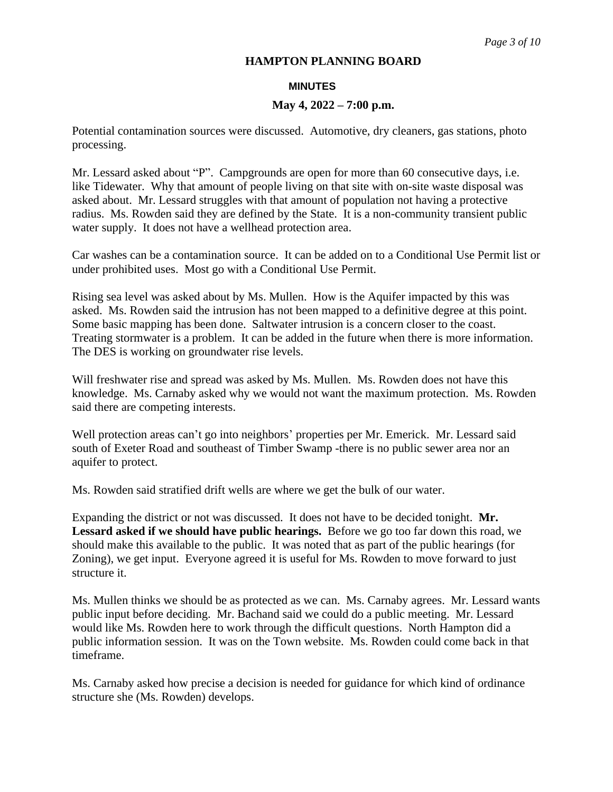#### **MINUTES**

### **May 4, 2022 – 7:00 p.m.**

Potential contamination sources were discussed. Automotive, dry cleaners, gas stations, photo processing.

Mr. Lessard asked about "P". Campgrounds are open for more than 60 consecutive days, i.e. like Tidewater. Why that amount of people living on that site with on-site waste disposal was asked about. Mr. Lessard struggles with that amount of population not having a protective radius. Ms. Rowden said they are defined by the State. It is a non-community transient public water supply. It does not have a wellhead protection area.

Car washes can be a contamination source. It can be added on to a Conditional Use Permit list or under prohibited uses. Most go with a Conditional Use Permit.

Rising sea level was asked about by Ms. Mullen. How is the Aquifer impacted by this was asked. Ms. Rowden said the intrusion has not been mapped to a definitive degree at this point. Some basic mapping has been done. Saltwater intrusion is a concern closer to the coast. Treating stormwater is a problem. It can be added in the future when there is more information. The DES is working on groundwater rise levels.

Will freshwater rise and spread was asked by Ms. Mullen. Ms. Rowden does not have this knowledge. Ms. Carnaby asked why we would not want the maximum protection. Ms. Rowden said there are competing interests.

Well protection areas can't go into neighbors' properties per Mr. Emerick. Mr. Lessard said south of Exeter Road and southeast of Timber Swamp -there is no public sewer area nor an aquifer to protect.

Ms. Rowden said stratified drift wells are where we get the bulk of our water.

Expanding the district or not was discussed. It does not have to be decided tonight. **Mr. Lessard asked if we should have public hearings.** Before we go too far down this road, we should make this available to the public. It was noted that as part of the public hearings (for Zoning), we get input. Everyone agreed it is useful for Ms. Rowden to move forward to just structure it.

Ms. Mullen thinks we should be as protected as we can. Ms. Carnaby agrees. Mr. Lessard wants public input before deciding. Mr. Bachand said we could do a public meeting. Mr. Lessard would like Ms. Rowden here to work through the difficult questions. North Hampton did a public information session. It was on the Town website. Ms. Rowden could come back in that timeframe.

Ms. Carnaby asked how precise a decision is needed for guidance for which kind of ordinance structure she (Ms. Rowden) develops.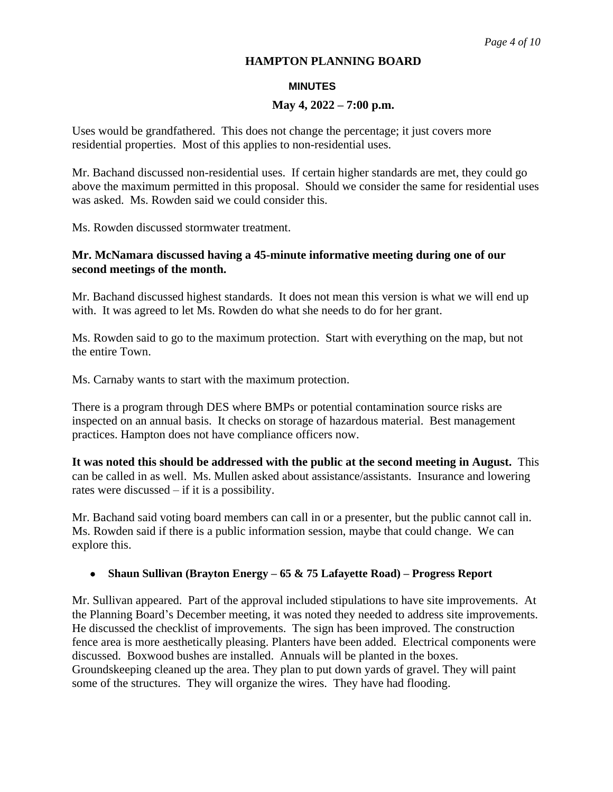# **MINUTES**

# **May 4, 2022 – 7:00 p.m.**

Uses would be grandfathered. This does not change the percentage; it just covers more residential properties. Most of this applies to non-residential uses.

Mr. Bachand discussed non-residential uses. If certain higher standards are met, they could go above the maximum permitted in this proposal. Should we consider the same for residential uses was asked. Ms. Rowden said we could consider this.

Ms. Rowden discussed stormwater treatment.

# **Mr. McNamara discussed having a 45-minute informative meeting during one of our second meetings of the month.**

Mr. Bachand discussed highest standards. It does not mean this version is what we will end up with. It was agreed to let Ms. Rowden do what she needs to do for her grant.

Ms. Rowden said to go to the maximum protection. Start with everything on the map, but not the entire Town.

Ms. Carnaby wants to start with the maximum protection.

There is a program through DES where BMPs or potential contamination source risks are inspected on an annual basis. It checks on storage of hazardous material. Best management practices. Hampton does not have compliance officers now.

**It was noted this should be addressed with the public at the second meeting in August.** This can be called in as well. Ms. Mullen asked about assistance/assistants. Insurance and lowering rates were discussed – if it is a possibility.

Mr. Bachand said voting board members can call in or a presenter, but the public cannot call in. Ms. Rowden said if there is a public information session, maybe that could change. We can explore this.

# **Shaun Sullivan (Brayton Energy – 65 & 75 Lafayette Road) – Progress Report**

Mr. Sullivan appeared. Part of the approval included stipulations to have site improvements. At the Planning Board's December meeting, it was noted they needed to address site improvements. He discussed the checklist of improvements. The sign has been improved. The construction fence area is more aesthetically pleasing. Planters have been added. Electrical components were discussed. Boxwood bushes are installed. Annuals will be planted in the boxes. Groundskeeping cleaned up the area. They plan to put down yards of gravel. They will paint some of the structures. They will organize the wires. They have had flooding.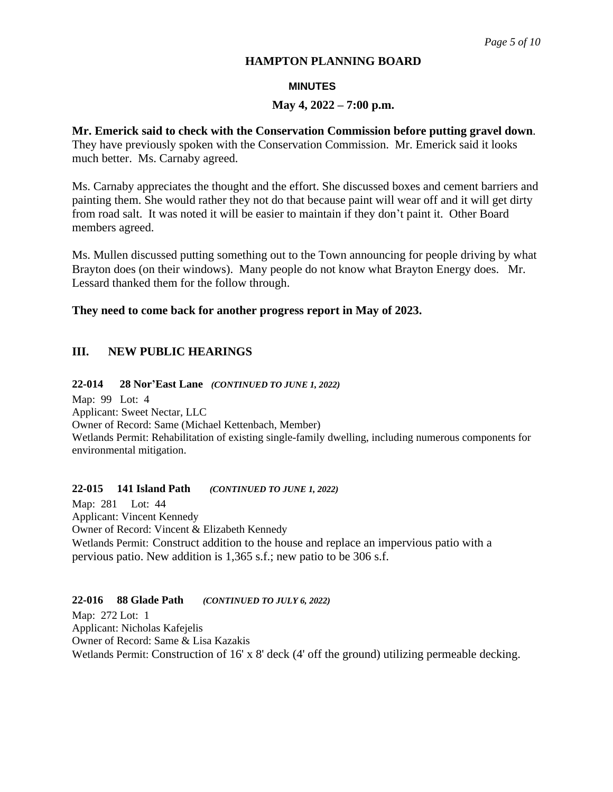# **MINUTES**

# **May 4, 2022 – 7:00 p.m.**

# **Mr. Emerick said to check with the Conservation Commission before putting gravel down**.

They have previously spoken with the Conservation Commission. Mr. Emerick said it looks much better. Ms. Carnaby agreed.

Ms. Carnaby appreciates the thought and the effort. She discussed boxes and cement barriers and painting them. She would rather they not do that because paint will wear off and it will get dirty from road salt. It was noted it will be easier to maintain if they don't paint it. Other Board members agreed.

Ms. Mullen discussed putting something out to the Town announcing for people driving by what Brayton does (on their windows). Many people do not know what Brayton Energy does. Mr. Lessard thanked them for the follow through.

# **They need to come back for another progress report in May of 2023.**

# **III. NEW PUBLIC HEARINGS**

# **22-014 28 Nor'East Lane** *(CONTINUED TO JUNE 1, 2022)*

Map: 99 Lot: 4 Applicant: Sweet Nectar, LLC Owner of Record: Same (Michael Kettenbach, Member) Wetlands Permit: Rehabilitation of existing single-family dwelling, including numerous components for environmental mitigation.

# **22-015 141 Island Path** *(CONTINUED TO JUNE 1, 2022)*

Map: 281 Lot: 44 Applicant: Vincent Kennedy Owner of Record: Vincent & Elizabeth Kennedy Wetlands Permit: Construct addition to the house and replace an impervious patio with a pervious patio. New addition is 1,365 s.f.; new patio to be 306 s.f.

# **22-016 88 Glade Path** *(CONTINUED TO JULY 6, 2022)*

Map: 272 Lot: 1 Applicant: Nicholas Kafejelis Owner of Record: Same & Lisa Kazakis Wetlands Permit: Construction of 16' x 8' deck (4' off the ground) utilizing permeable decking.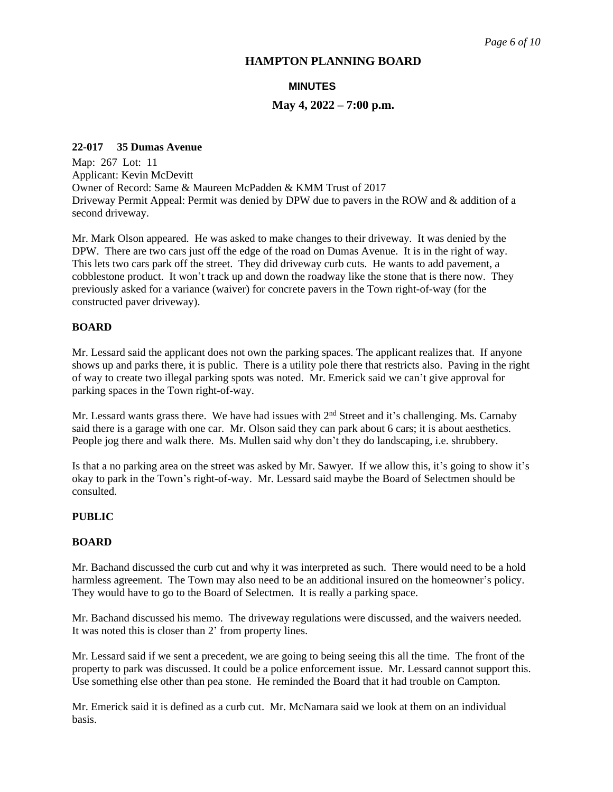# **MINUTES**

# **May 4, 2022 – 7:00 p.m.**

### **22-017 35 Dumas Avenue**

Map: 267 Lot: 11 Applicant: Kevin McDevitt Owner of Record: Same & Maureen McPadden & KMM Trust of 2017 Driveway Permit Appeal: Permit was denied by DPW due to pavers in the ROW and & addition of a second driveway.

Mr. Mark Olson appeared. He was asked to make changes to their driveway. It was denied by the DPW. There are two cars just off the edge of the road on Dumas Avenue. It is in the right of way. This lets two cars park off the street. They did driveway curb cuts. He wants to add pavement, a cobblestone product. It won't track up and down the roadway like the stone that is there now. They previously asked for a variance (waiver) for concrete pavers in the Town right-of-way (for the constructed paver driveway).

# **BOARD**

Mr. Lessard said the applicant does not own the parking spaces. The applicant realizes that. If anyone shows up and parks there, it is public. There is a utility pole there that restricts also. Paving in the right of way to create two illegal parking spots was noted. Mr. Emerick said we can't give approval for parking spaces in the Town right-of-way.

Mr. Lessard wants grass there. We have had issues with  $2<sup>nd</sup>$  Street and it's challenging. Ms. Carnaby said there is a garage with one car. Mr. Olson said they can park about 6 cars; it is about aesthetics. People jog there and walk there. Ms. Mullen said why don't they do landscaping, i.e. shrubbery.

Is that a no parking area on the street was asked by Mr. Sawyer. If we allow this, it's going to show it's okay to park in the Town's right-of-way. Mr. Lessard said maybe the Board of Selectmen should be consulted.

### **PUBLIC**

#### **BOARD**

Mr. Bachand discussed the curb cut and why it was interpreted as such. There would need to be a hold harmless agreement. The Town may also need to be an additional insured on the homeowner's policy. They would have to go to the Board of Selectmen. It is really a parking space.

Mr. Bachand discussed his memo. The driveway regulations were discussed, and the waivers needed. It was noted this is closer than 2' from property lines.

Mr. Lessard said if we sent a precedent, we are going to being seeing this all the time. The front of the property to park was discussed. It could be a police enforcement issue. Mr. Lessard cannot support this. Use something else other than pea stone. He reminded the Board that it had trouble on Campton.

Mr. Emerick said it is defined as a curb cut. Mr. McNamara said we look at them on an individual basis.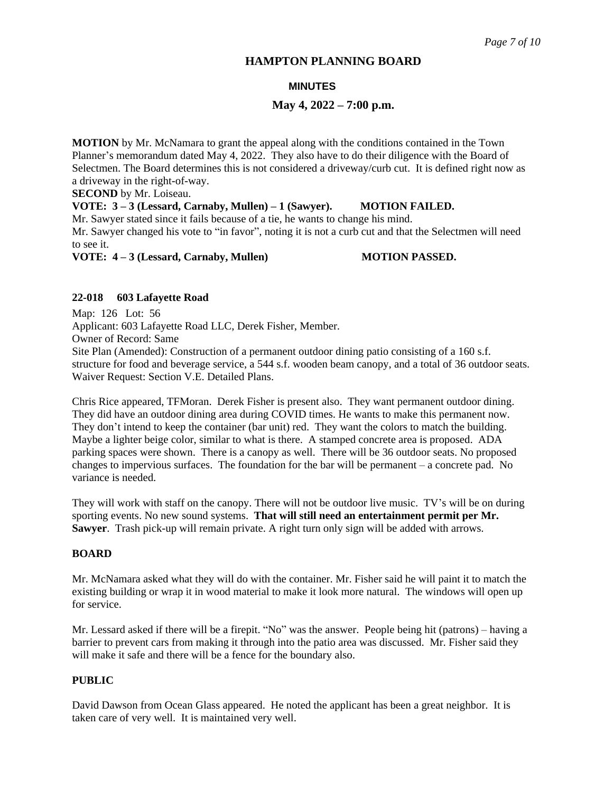# **MINUTES**

# **May 4, 2022 – 7:00 p.m.**

**MOTION** by Mr. McNamara to grant the appeal along with the conditions contained in the Town Planner's memorandum dated May 4, 2022. They also have to do their diligence with the Board of Selectmen. The Board determines this is not considered a driveway/curb cut. It is defined right now as a driveway in the right-of-way.

**SECOND** by Mr. Loiseau.

**VOTE: 3 – 3 (Lessard, Carnaby, Mullen) – 1 (Sawyer). MOTION FAILED.**

Mr. Sawyer stated since it fails because of a tie, he wants to change his mind. Mr. Sawyer changed his vote to "in favor", noting it is not a curb cut and that the Selectmen will need

to see it.

**VOTE:**  $4-3$  (Lessard, Carnaby, Mullen) **MOTION PASSED.** 

# **22-018 603 Lafayette Road**

Map: 126 Lot: 56 Applicant: 603 Lafayette Road LLC, Derek Fisher, Member. Owner of Record: Same Site Plan (Amended): Construction of a permanent outdoor dining patio consisting of a 160 s.f. structure for food and beverage service, a 544 s.f. wooden beam canopy, and a total of 36 outdoor seats. Waiver Request: Section V.E. Detailed Plans.

Chris Rice appeared, TFMoran. Derek Fisher is present also. They want permanent outdoor dining. They did have an outdoor dining area during COVID times. He wants to make this permanent now. They don't intend to keep the container (bar unit) red. They want the colors to match the building. Maybe a lighter beige color, similar to what is there. A stamped concrete area is proposed. ADA parking spaces were shown. There is a canopy as well. There will be 36 outdoor seats. No proposed changes to impervious surfaces. The foundation for the bar will be permanent – a concrete pad. No variance is needed.

They will work with staff on the canopy. There will not be outdoor live music. TV's will be on during sporting events. No new sound systems. **That will still need an entertainment permit per Mr. Sawyer**. Trash pick-up will remain private. A right turn only sign will be added with arrows.

# **BOARD**

Mr. McNamara asked what they will do with the container. Mr. Fisher said he will paint it to match the existing building or wrap it in wood material to make it look more natural. The windows will open up for service.

Mr. Lessard asked if there will be a firepit. "No" was the answer. People being hit (patrons) – having a barrier to prevent cars from making it through into the patio area was discussed. Mr. Fisher said they will make it safe and there will be a fence for the boundary also.

# **PUBLIC**

David Dawson from Ocean Glass appeared. He noted the applicant has been a great neighbor. It is taken care of very well. It is maintained very well.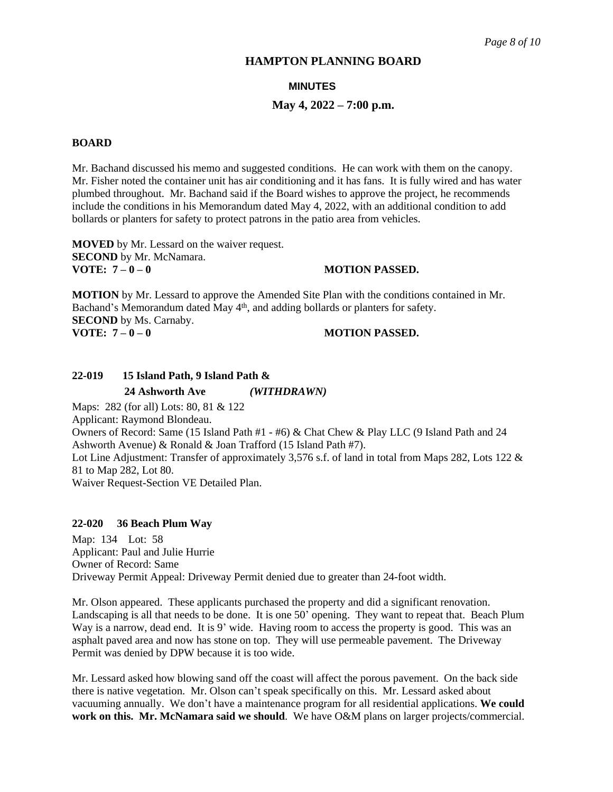#### **MINUTES**

#### **May 4, 2022 – 7:00 p.m.**

#### **BOARD**

Mr. Bachand discussed his memo and suggested conditions. He can work with them on the canopy. Mr. Fisher noted the container unit has air conditioning and it has fans. It is fully wired and has water plumbed throughout. Mr. Bachand said if the Board wishes to approve the project, he recommends include the conditions in his Memorandum dated May 4, 2022, with an additional condition to add bollards or planters for safety to protect patrons in the patio area from vehicles.

**MOVED** by Mr. Lessard on the waiver request. **SECOND** by Mr. McNamara.<br>**VOTE:**  $7 - 0 - 0$ 

#### **VOTE: 7 – 0 – 0 MOTION PASSED.**

**MOTION** by Mr. Lessard to approve the Amended Site Plan with the conditions contained in Mr. Bachand's Memorandum dated May 4<sup>th</sup>, and adding bollards or planters for safety. **SECOND** by Ms. Carnaby. **VOTE: 7 – 0 – 0 MOTION PASSED.**

# **22-019 15 Island Path, 9 Island Path &**

 **24 Ashworth Ave** *(WITHDRAWN)*

Maps: 282 (for all) Lots: 80, 81 & 122 Applicant: Raymond Blondeau. Owners of Record: Same (15 Island Path #1 - #6) & Chat Chew & Play LLC (9 Island Path and 24 Ashworth Avenue) & Ronald & Joan Trafford (15 Island Path #7). Lot Line Adjustment: Transfer of approximately 3,576 s.f. of land in total from Maps 282, Lots 122 & 81 to Map 282, Lot 80. Waiver Request-Section VE Detailed Plan.

#### **22-020 36 Beach Plum Way**

Map: 134 Lot: 58 Applicant: Paul and Julie Hurrie Owner of Record: Same Driveway Permit Appeal: Driveway Permit denied due to greater than 24-foot width.

Mr. Olson appeared. These applicants purchased the property and did a significant renovation. Landscaping is all that needs to be done. It is one 50' opening. They want to repeat that. Beach Plum Way is a narrow, dead end. It is 9' wide. Having room to access the property is good. This was an asphalt paved area and now has stone on top. They will use permeable pavement. The Driveway Permit was denied by DPW because it is too wide.

Mr. Lessard asked how blowing sand off the coast will affect the porous pavement. On the back side there is native vegetation. Mr. Olson can't speak specifically on this. Mr. Lessard asked about vacuuming annually. We don't have a maintenance program for all residential applications. **We could work on this. Mr. McNamara said we should**. We have O&M plans on larger projects/commercial.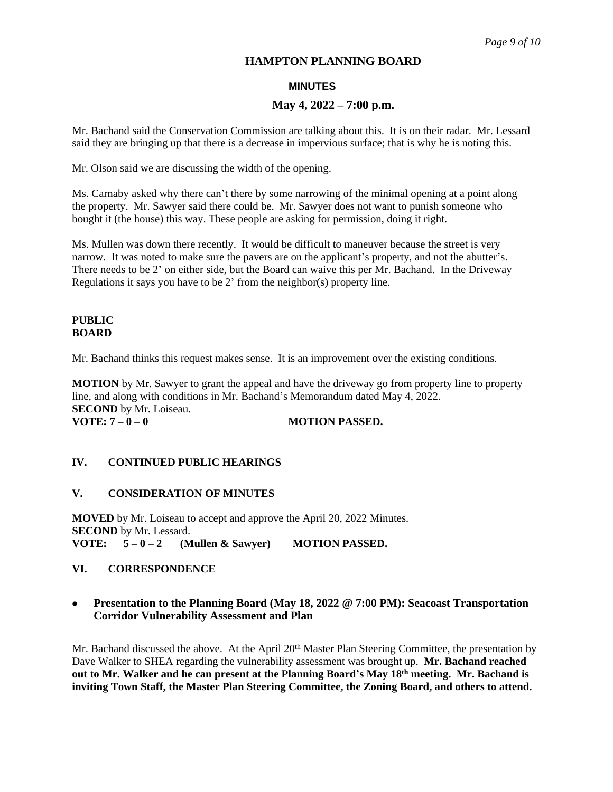## **MINUTES**

### **May 4, 2022 – 7:00 p.m.**

Mr. Bachand said the Conservation Commission are talking about this. It is on their radar. Mr. Lessard said they are bringing up that there is a decrease in impervious surface; that is why he is noting this.

Mr. Olson said we are discussing the width of the opening.

Ms. Carnaby asked why there can't there by some narrowing of the minimal opening at a point along the property. Mr. Sawyer said there could be. Mr. Sawyer does not want to punish someone who bought it (the house) this way. These people are asking for permission, doing it right.

Ms. Mullen was down there recently. It would be difficult to maneuver because the street is very narrow. It was noted to make sure the pavers are on the applicant's property, and not the abutter's. There needs to be 2' on either side, but the Board can waive this per Mr. Bachand. In the Driveway Regulations it says you have to be 2' from the neighbor(s) property line.

### **PUBLIC BOARD**

Mr. Bachand thinks this request makes sense. It is an improvement over the existing conditions.

**MOTION** by Mr. Sawyer to grant the appeal and have the driveway go from property line to property line, and along with conditions in Mr. Bachand's Memorandum dated May 4, 2022. **SECOND** by Mr. Loiseau. **VOTE:**  $7 - 0 - 0$  **MOTION PASSED.** 

## **IV. CONTINUED PUBLIC HEARINGS**

#### **V. CONSIDERATION OF MINUTES**

**MOVED** by Mr. Loiseau to accept and approve the April 20, 2022 Minutes. **SECOND** by Mr. Lessard. **VOTE: 5 – 0 – 2 (Mullen & Sawyer) MOTION PASSED.**

# **VI. CORRESPONDENCE**

# **Presentation to the Planning Board (May 18, 2022 @ 7:00 PM): Seacoast Transportation Corridor Vulnerability Assessment and Plan**

Mr. Bachand discussed the above. At the April 20<sup>th</sup> Master Plan Steering Committee, the presentation by Dave Walker to SHEA regarding the vulnerability assessment was brought up. **Mr. Bachand reached out to Mr. Walker and he can present at the Planning Board's May 18th meeting. Mr. Bachand is inviting Town Staff, the Master Plan Steering Committee, the Zoning Board, and others to attend.**